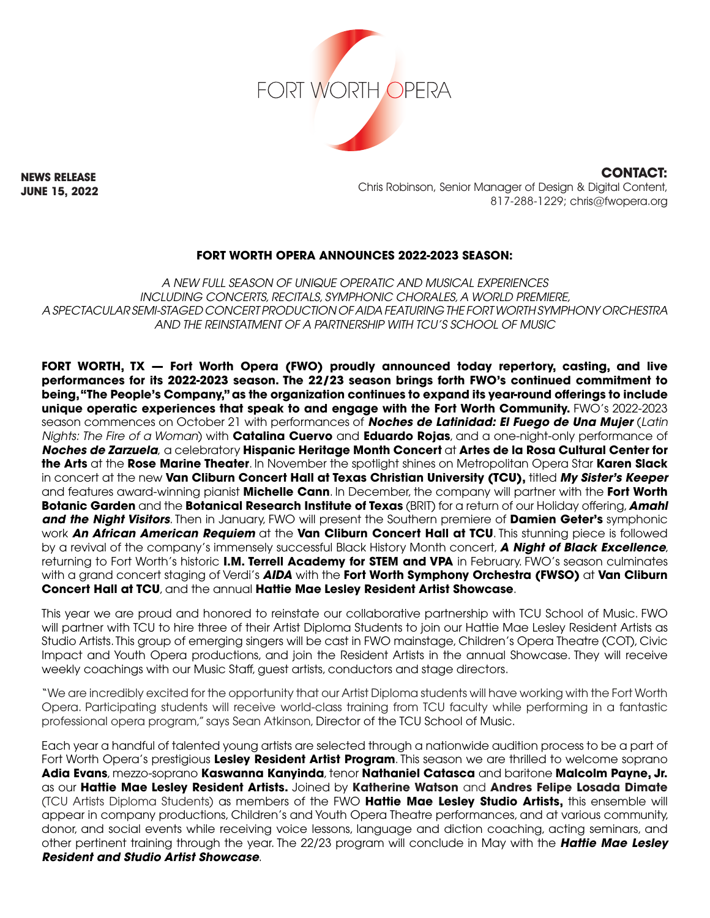

**NEWS RELEASE JUNE 15, 2022**

**CONTACT:** Chris Robinson, Senior Manager of Design & Digital Content, 817-288-1229; chris@fwopera.org

# **FORT WORTH OPERA ANNOUNCES 2022-2023 SEASON:**

*A NEW FULL SEASON OF UNIQUE OPERATIC AND MUSICAL EXPERIENCES INCLUDING CONCERTS, RECITALS, SYMPHONIC CHORALES, A WORLD PREMIERE, A SPECTACULAR SEMI-STAGED CONCERT PRODUCTION OF AIDA FEATURING THE FORT WORTH SYMPHONY ORCHESTRA AND THE REINSTATMENT OF A PARTNERSHIP WITH TCU'S SCHOOL OF MUSIC*

**FORT WORTH, TX — Fort Worth Opera (FWO) proudly announced today repertory, casting, and live performances for its 2022-2023 season. The 22/23 season brings forth FWO's continued commitment to being, "The People's Company," as the organization continues to expand its year-round offerings to include unique operatic experiences that speak to and engage with the Fort Worth Community.** FWO's 2022-2023 season commences on October 21 with performances of *Noches de Latinidad: El Fuego de Una Mujer* (*Latin Nights: The Fire of a Woman*) with **Catalina Cuervo** and **Eduardo Rojas**, and a one-night-only performance of *Noches de Zarzuela*, a celebratory **Hispanic Heritage Month Concert** at **Artes de la Rosa Cultural Center for the Arts** at the **Rose Marine Theater**. In November the spotlight shines on Metropolitan Opera Star **Karen Slack** in concert at the new **Van Cliburn Concert Hall at Texas Christian University (TCU),** titled *My Sister's Keeper* and features award-winning pianist **Michelle Cann**. In December, the company will partner with the **Fort Worth Botanic Garden** and the **Botanical Research Institute of Texas** (BRIT) for a return of our Holiday offering, *Amahl and the Night Visitors*. Then in January, FWO will present the Southern premiere of **Damien Geter's** symphonic work *An African American Requiem* at the **Van Cliburn Concert Hall at TCU**. This stunning piece is followed by a revival of the company's immensely successful Black History Month concert, *A Night of Black Excellence*, returning to Fort Worth's historic **I.M. Terrell Academy for STEM and VPA** in February. FWO's season culminates with a grand concert staging of Verdi's *AIDA* with the **Fort Worth Symphony Orchestra (FWSO)** at **Van Cliburn Concert Hall at TCU**, and the annual **Hattie Mae Lesley Resident Artist Showcase**.

This year we are proud and honored to reinstate our collaborative partnership with TCU School of Music. FWO will partner with TCU to hire three of their Artist Diploma Students to join our Hattie Mae Lesley Resident Artists as Studio Artists. This group of emerging singers will be cast in FWO mainstage, Children's Opera Theatre (COT), Civic Impact and Youth Opera productions, and join the Resident Artists in the annual Showcase. They will receive weekly coachings with our Music Staff, guest artists, conductors and stage directors.

"We are incredibly excited for the opportunity that our Artist Diploma students will have working with the Fort Worth Opera. Participating students will receive world-class training from TCU faculty while performing in a fantastic professional opera program," says Sean Atkinson, Director of the TCU School of Music.

Each year a handful of talented young artists are selected through a nationwide audition process to be a part of Fort Worth Opera's prestigious **Lesley Resident Artist Program**. This season we are thrilled to welcome soprano **Adia Evans**, mezzo-soprano **Kaswanna Kanyinda**, tenor **Nathaniel Catasca** and baritone **Malcolm Payne, Jr.** as our **Hattie Mae Lesley Resident Artists.** Joined by **Katherine Watson** and **Andres Felipe Losada Dimate**  (TCU Artists Diploma Students) as members of the FWO **Hattie Mae Lesley Studio Artists,** this ensemble will appear in company productions, Children's and Youth Opera Theatre performances, and at various community, donor, and social events while receiving voice lessons, language and diction coaching, acting seminars, and other pertinent training through the year. The 22/23 program will conclude in May with the *Hattie Mae Lesley Resident and Studio Artist Showcase*.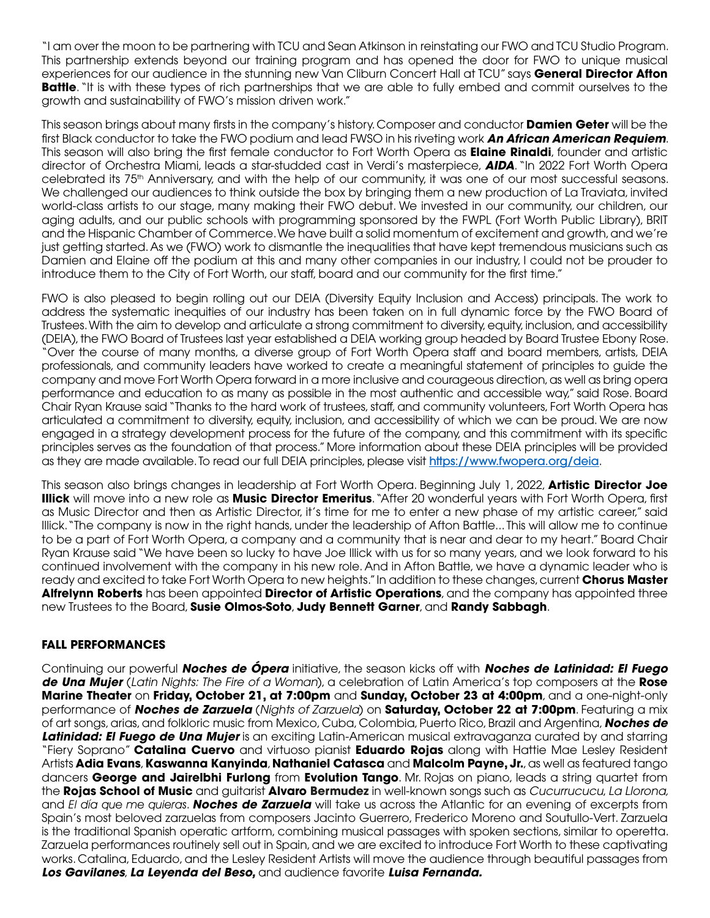"I am over the moon to be partnering with TCU and Sean Atkinson in reinstating our FWO and TCU Studio Program. This partnership extends beyond our training program and has opened the door for FWO to unique musical experiences for our audience in the stunning new Van Cliburn Concert Hall at TCU" says **General Director Afton Battle**. "It is with these types of rich partnerships that we are able to fully embed and commit ourselves to the growth and sustainability of FWO's mission driven work."

This season brings about many firsts in the company's history. Composer and conductor **Damien Geter** will be the first Black conductor to take the FWO podium and lead FWSO in his riveting work *An African American Requiem*. This season will also bring the first female conductor to Fort Worth Opera as **Elaine Rinaldi**, founder and artistic director of Orchestra Miami, leads a star-studded cast in Verdi's masterpiece, *AIDA*. "In 2022 Fort Worth Opera celebrated its 75th Anniversary, and with the help of our community, it was one of our most successful seasons. We challenged our audiences to think outside the box by bringing them a new production of La Traviata, invited world-class artists to our stage, many making their FWO debut. We invested in our community, our children, our aging adults, and our public schools with programming sponsored by the FWPL (Fort Worth Public Library), BRIT and the Hispanic Chamber of Commerce. We have built a solid momentum of excitement and growth, and we're just getting started. As we (FWO) work to dismantle the inequalities that have kept tremendous musicians such as Damien and Elaine off the podium at this and many other companies in our industry, I could not be prouder to introduce them to the City of Fort Worth, our staff, board and our community for the first time."

FWO is also pleased to begin rolling out our DEIA (Diversity Equity Inclusion and Access) principals. The work to address the systematic inequities of our industry has been taken on in full dynamic force by the FWO Board of Trustees. With the aim to develop and articulate a strong commitment to diversity, equity, inclusion, and accessibility (DEIA), the FWO Board of Trustees last year established a DEIA working group headed by Board Trustee Ebony Rose. "Over the course of many months, a diverse group of Fort Worth Opera staff and board members, artists, DEIA professionals, and community leaders have worked to create a meaningful statement of principles to guide the company and move Fort Worth Opera forward in a more inclusive and courageous direction, as well as bring opera performance and education to as many as possible in the most authentic and accessible way," said Rose. Board Chair Ryan Krause said "Thanks to the hard work of trustees, staff, and community volunteers, Fort Worth Opera has articulated a commitment to diversity, equity, inclusion, and accessibility of which we can be proud. We are now engaged in a strategy development process for the future of the company, and this commitment with its specific principles serves as the foundation of that process." More information about these DEIA principles will be provided as they are made available. To read our full DEIA principles, please visit https://www.fwopera.org/deia.

This season also brings changes in leadership at Fort Worth Opera. Beginning July 1, 2022, **Artistic Director Joe Illick** will move into a new role as **Music Director Emeritus**. "After 20 wonderful years with Fort Worth Opera, first as Music Director and then as Artistic Director, it's time for me to enter a new phase of my artistic career," said Illick. "The company is now in the right hands, under the leadership of Afton Battle... This will allow me to continue to be a part of Fort Worth Opera, a company and a community that is near and dear to my heart." Board Chair Ryan Krause said "We have been so lucky to have Joe Illick with us for so many years, and we look forward to his continued involvement with the company in his new role. And in Afton Battle, we have a dynamic leader who is ready and excited to take Fort Worth Opera to new heights." In addition to these changes, current **Chorus Master Alfrelynn Roberts** has been appointed **Director of Artistic Operations**, and the company has appointed three new Trustees to the Board, **Susie Olmos-Soto**, **Judy Bennett Garner**, and **Randy Sabbagh**.

### **FALL PERFORMANCES**

Continuing our powerful *Noches de Ópera* initiative, the season kicks off with *Noches de Latinidad: El Fuego de Una Mujer* (*Latin Nights: The Fire of a Woman*), a celebration of Latin America's top composers at the **Rose Marine Theater** on **Friday, October 21, at 7:00pm** and **Sunday, October 23 at 4:00pm**, and a one-night-only performance of *Noches de Zarzuela* (*Nights of Zarzuela*) on **Saturday, October 22 at 7:00pm**. Featuring a mix of art songs, arias, and folkloric music from Mexico, Cuba, Colombia, Puerto Rico, Brazil and Argentina, *Noches de Latinidad: El Fuego de Una Mujer* is an exciting Latin-American musical extravaganza curated by and starring "Fiery Soprano" **Catalina Cuervo** and virtuoso pianist **Eduardo Rojas** along with Hattie Mae Lesley Resident Artists **Adia Evans**, **Kaswanna Kanyinda**, **Nathaniel Catasca** and **Malcolm Payne, Jr.**, as well as featured tango dancers **George and Jairelbhi Furlong** from **Evolution Tango**. Mr. Rojas on piano, leads a string quartet from the **Rojas School of Music** and guitarist **Alvaro Bermudez** in well-known songs such as *Cucurrucucu*, *La Llorona,*  and El día que me quieras. *Noches de Zarzuela* will take us across the Atlantic for an evening of excerpts from Spain's most beloved zarzuelas from composers Jacinto Guerrero, Frederico Moreno and Soutullo-Vert. Zarzuela is the traditional Spanish operatic artform, combining musical passages with spoken sections, similar to operetta. Zarzuela performances routinely sell out in Spain, and we are excited to introduce Fort Worth to these captivating works. Catalina, Eduardo, and the Lesley Resident Artists will move the audience through beautiful passages from *Los Gavilanes*, *La Leyenda del Beso,* and audience favorite *Luisa Fernanda.*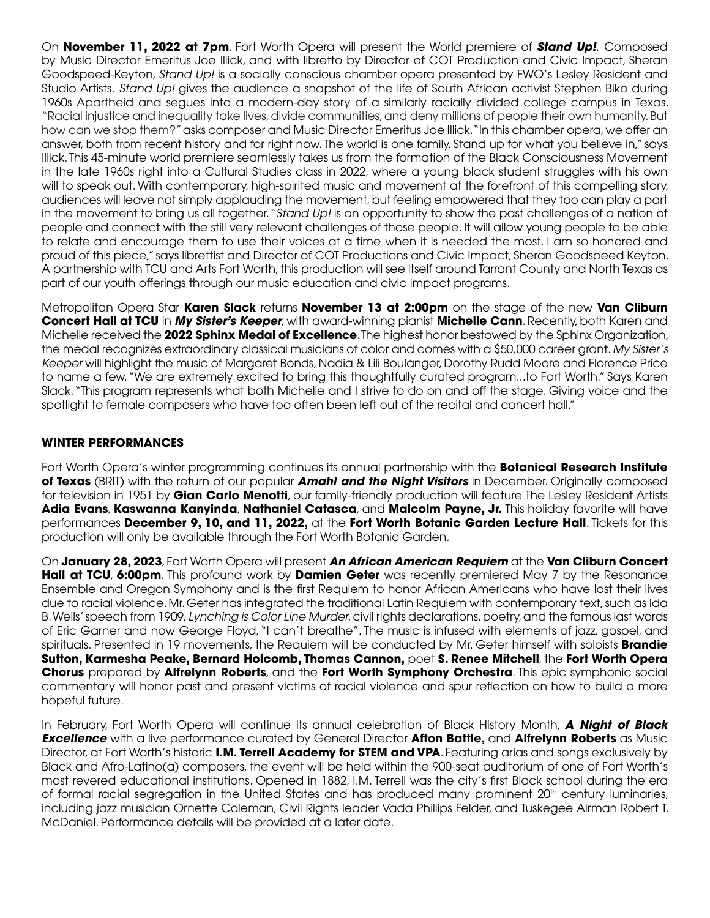On **November 11, 2022 at 7pm**, Fort Worth Opera will present the World premiere of *Stand Up!*. Composed by Music Director Emeritus Joe Illick, and with libretto by Director of COT Production and Civic Impact, Sheran Goodspeed-Keyton, *Stand Up!* is a socially conscious chamber opera presented by FWO's Lesley Resident and Studio Artists. *Stand Up!* gives the audience a snapshot of the life of South African activist Stephen Biko during 1960s Apartheid and segues into a modern-day story of a similarly racially divided college campus in Texas. "Racial injustice and inequality take lives, divide communities, and deny millions of people their own humanity. But how can we stop them?" asks composer and Music Director Emeritus Joe Illick. "In this chamber opera, we offer an answer, both from recent history and for right now. The world is one family. Stand up for what you believe in," says Illick. This 45-minute world premiere seamlessly takes us from the formation of the Black Consciousness Movement in the late 1960s right into a Cultural Studies class in 2022, where a young black student struggles with his own will to speak out. With contemporary, high-spirited music and movement at the forefront of this compelling story, audiences will leave not simply applauding the movement, but feeling empowered that they too can play a part in the movement to bring us all together. "*Stand Up!* is an opportunity to show the past challenges of a nation of people and connect with the still very relevant challenges of those people. It will allow young people to be able to relate and encourage them to use their voices at a time when it is needed the most. I am so honored and proud of this piece," says librettist and Director of COT Productions and Civic Impact, Sheran Goodspeed Keyton. A partnership with TCU and Arts Fort Worth, this production will see itself around Tarrant County and North Texas as part of our youth offerings through our music education and civic impact programs.

Metropolitan Opera Star **Karen Slack** returns **November 13 at 2:00pm** on the stage of the new **Van Cliburn Concert Hall at TCU** in *My Sister's Keeper*, with award-winning pianist **Michelle Cann**. Recently, both Karen and Michelle received the **2022 Sphinx Medal of Excellence**. The highest honor bestowed by the Sphinx Organization, the medal recognizes extraordinary classical musicians of color and comes with a \$50,000 career grant. *My Sister's Keeper* will highlight the music of Margaret Bonds, Nadia & Lili Boulanger, Dorothy Rudd Moore and Florence Price to name a few. "We are extremely excited to bring this thoughtfully curated program...to Fort Worth." Says Karen Slack. "This program represents what both Michelle and I strive to do on and off the stage. Giving voice and the spotlight to female composers who have too often been left out of the recital and concert hall."

# **WINTER PERFORMANCES**

Fort Worth Opera's winter programming continues its annual partnership with the **Botanical Research Institute of Texas** (BRIT) with the return of our popular *Amahl and the Night Visitors* in December. Originally composed for television in 1951 by **Gian Carlo Menotti**, our family-friendly production will feature The Lesley Resident Artists **Adia Evans**, **Kaswanna Kanyinda**, **Nathaniel Catasca**, and **Malcolm Payne, Jr.** This holiday favorite will have performances **December 9, 10, and 11, 2022,** at the **Fort Worth Botanic Garden Lecture Hall**. Tickets for this production will only be available through the Fort Worth Botanic Garden.

On **January 28, 2023**, Fort Worth Opera will present *An African American Requiem* at the **Van Cliburn Concert Hall at TCU**, **6:00pm**. This profound work by **Damien Geter** was recently premiered May 7 by the Resonance Ensemble and Oregon Symphony and is the first Requiem to honor African Americans who have lost their lives due to racial violence. Mr. Geter has integrated the traditional Latin Requiem with contemporary text, such as Ida B. Wells' speech from 1909, *Lynching is Color Line Murder*, civil rights declarations, poetry, and the famous last words of Eric Garner and now George Floyd, "I can't breathe". The music is infused with elements of jazz, gospel, and spirituals. Presented in 19 movements, the Requiem will be conducted by Mr. Geter himself with soloists **Brandie Sutton, Karmesha Peake, Bernard Holcomb, Thomas Cannon,** poet **S. Renee Mitchell**, the **Fort Worth Opera Chorus** prepared by **Alfrelynn Roberts**, and the **Fort Worth Symphony Orchestra**. This epic symphonic social commentary will honor past and present victims of racial violence and spur reflection on how to build a more hopeful future.

In February, Fort Worth Opera will continue its annual celebration of Black History Month, *A Night of Black Excellence* with a live performance curated by General Director **Afton Battle,** and **Alfrelynn Roberts** as Music Director, at Fort Worth's historic **I.M. Terrell Academy for STEM and VPA**. Featuring arias and songs exclusively by Black and Afro-Latino(a) composers, the event will be held within the 900-seat auditorium of one of Fort Worth's most revered educational institutions. Opened in 1882, I.M. Terrell was the city's first Black school during the era of formal racial segregation in the United States and has produced many prominent 20<sup>th</sup> century luminaries, including jazz musician Ornette Coleman, Civil Rights leader Vada Phillips Felder, and Tuskegee Airman Robert T. McDaniel. Performance details will be provided at a later date.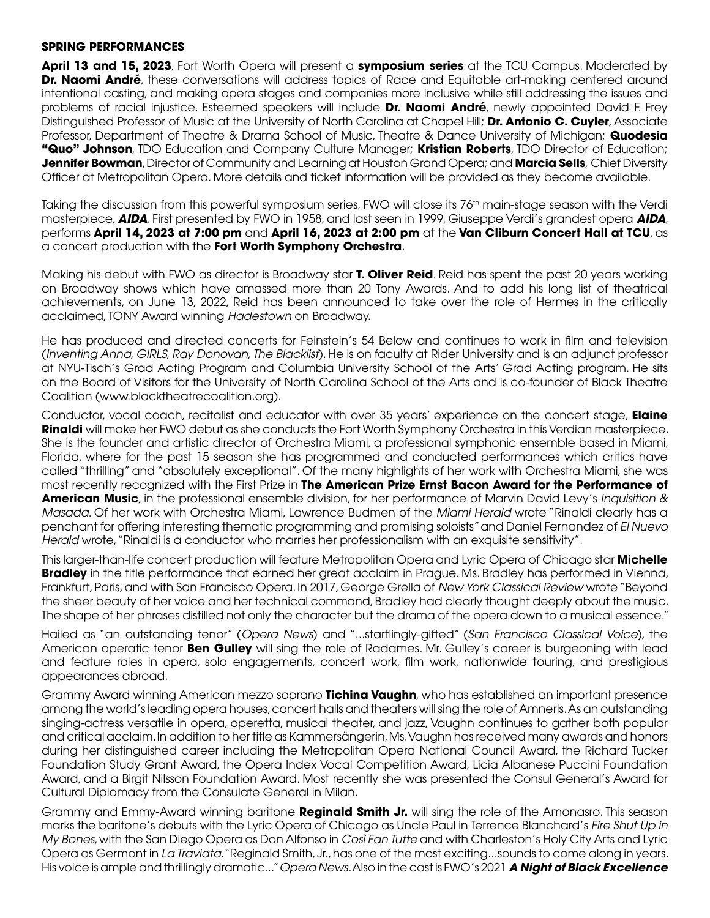#### **SPRING PERFORMANCES**

**April 13 and 15, 2023**, Fort Worth Opera will present a **symposium series** at the TCU Campus. Moderated by **Dr. Naomi André**, these conversations will address topics of Race and Equitable art-making centered around intentional casting, and making opera stages and companies more inclusive while still addressing the issues and problems of racial injustice. Esteemed speakers will include **Dr. Naomi André**, newly appointed David F. Frey Distinguished Professor of Music at the University of North Carolina at Chapel Hill; **Dr. Antonio C. Cuyler**, Associate Professor, Department of Theatre & Drama School of Music, Theatre & Dance University of Michigan; **Quodesia "Quo" Johnson**, TDO Education and Company Culture Manager; **Kristian Roberts**, TDO Director of Education; **Jennifer Bowman**, Director of Community and Learning at Houston Grand Opera; and **Marcia Sells**, Chief Diversity Officer at Metropolitan Opera. More details and ticket information will be provided as they become available.

Taking the discussion from this powerful symposium series, FWO will close its 76<sup>th</sup> main-stage season with the Verdi masterpiece, *AIDA*. First presented by FWO in 1958, and last seen in 1999, Giuseppe Verdi's grandest opera *AIDA*, performs **April 14, 2023 at 7:00 pm** and **April 16, 2023 at 2:00 pm** at the **Van Cliburn Concert Hall at TCU**, as a concert production with the **Fort Worth Symphony Orchestra**.

Making his debut with FWO as director is Broadway star **T. Oliver Reid**. Reid has spent the past 20 years working on Broadway shows which have amassed more than 20 Tony Awards. And to add his long list of theatrical achievements, on June 13, 2022, Reid has been announced to take over the role of Hermes in the critically acclaimed, TONY Award winning *Hadestown* on Broadway.

He has produced and directed concerts for Feinstein's 54 Below and continues to work in film and television (*Inventing Anna*, *GIRLS*, *Ray Donovan*, *The Blacklist*). He is on faculty at Rider University and is an adjunct professor at NYU-Tisch's Grad Acting Program and Columbia University School of the Arts' Grad Acting program. He sits on the Board of Visitors for the University of North Carolina School of the Arts and is co-founder of Black Theatre Coalition (www.blacktheatrecoalition.org).

Conductor, vocal coach, recitalist and educator with over 35 years' experience on the concert stage, **Elaine Rinaldi** will make her FWO debut as she conducts the Fort Worth Symphony Orchestra in this Verdian masterpiece. She is the founder and artistic director of Orchestra Miami, a professional symphonic ensemble based in Miami, Florida, where for the past 15 season she has programmed and conducted performances which critics have called "thrilling" and "absolutely exceptional". Of the many highlights of her work with Orchestra Miami, she was most recently recognized with the First Prize in **The American Prize Ernst Bacon Award for the Performance of American Music**, in the professional ensemble division, for her performance of Marvin David Levy's *Inquisition & Masada*. Of her work with Orchestra Miami, Lawrence Budmen of the *Miami Herald* wrote "Rinaldi clearly has a penchant for offering interesting thematic programming and promising soloists" and Daniel Fernandez of *El Nuevo Herald* wrote, "Rinaldi is a conductor who marries her professionalism with an exquisite sensitivity".

This larger-than-life concert production will feature Metropolitan Opera and Lyric Opera of Chicago star **Michelle Bradley** in the title performance that earned her great acclaim in Prague. Ms. Bradley has performed in Vienna, Frankfurt, Paris, and with San Francisco Opera. In 2017, George Grella of *New York Classical Review* wrote "Beyond the sheer beauty of her voice and her technical command, Bradley had clearly thought deeply about the music. The shape of her phrases distilled not only the character but the drama of the opera down to a musical essence."

Hailed as "an outstanding tenor" (*Opera News*) and "...startlingly-gifted" (*San Francisco Classical Voice*), the American operatic tenor **Ben Gulley** will sing the role of Radames. Mr. Gulley's career is burgeoning with lead and feature roles in opera, solo engagements, concert work, film work, nationwide touring, and prestigious appearances abroad.

Grammy Award winning American mezzo soprano **Tichina Vaughn**, who has established an important presence among the world's leading opera houses, concert halls and theaters will sing the role of Amneris. As an outstanding singing-actress versatile in opera, operetta, musical theater, and jazz, Vaughn continues to gather both popular and critical acclaim. In addition to her title as Kammersängerin, Ms. Vaughn has received many awards and honors during her distinguished career including the Metropolitan Opera National Council Award, the Richard Tucker Foundation Study Grant Award, the Opera Index Vocal Competition Award, Licia Albanese Puccini Foundation Award, and a Birgit Nilsson Foundation Award. Most recently she was presented the Consul General's Award for Cultural Diplomacy from the Consulate General in Milan.

Grammy and Emmy-Award winning baritone **Reginald Smith Jr.** will sing the role of the Amonasro. This season marks the baritone's debuts with the Lyric Opera of Chicago as Uncle Paul in Terrence Blanchard's *Fire Shut Up in My Bones*, with the San Diego Opera as Don Alfonso in *Così Fan Tutte* and with Charleston's Holy City Arts and Lyric Opera as Germont in *La Traviata*. "Reginald Smith, Jr., has one of the most exciting...sounds to come along in years. His voice is ample and thrillingly dramatic..." *Opera News.* Also in the cast is FWO's 2021 *A Night of Black Excellence*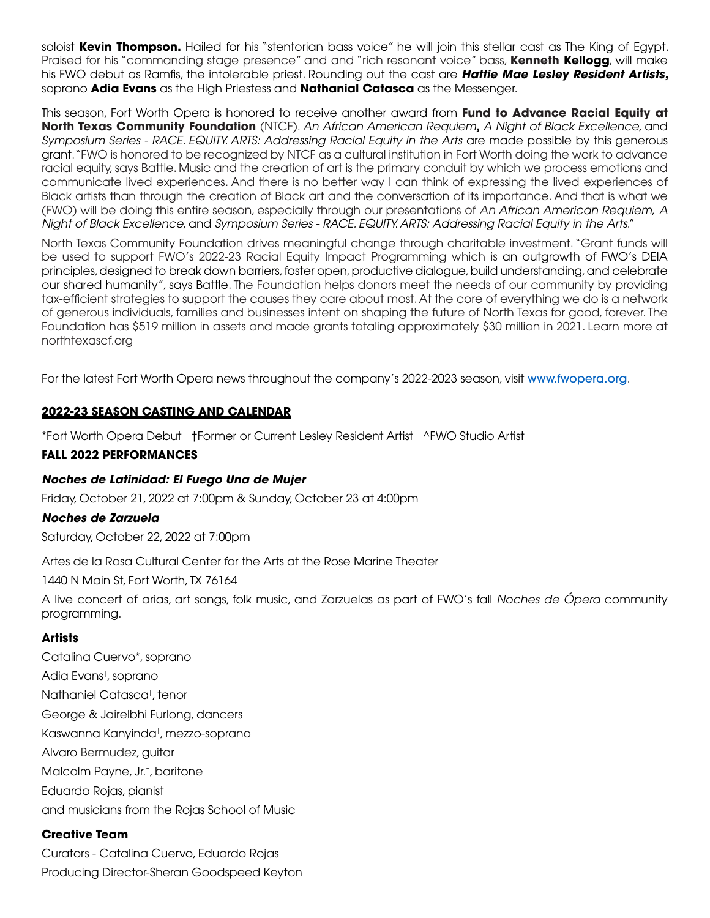soloist **Kevin Thompson.** Hailed for his "stentorian bass voice" he will join this stellar cast as The King of Egypt. Praised for his "commanding stage presence" and and "rich resonant voice" bass, **Kenneth Kellogg**, will make his FWO debut as Ramfis, the intolerable priest. Rounding out the cast are *Hattie Mae Lesley Resident Artists,*  soprano **Adia Evans** as the High Priestess and **Nathanial Catasca** as the Messenger.

This season, Fort Worth Opera is honored to receive another award from **Fund to Advance Racial Equity at North Texas Community Foundation** (NTCF). *An African American Requiem, A Night of Black Excellence*, and *Symposium Series - RACE. EQUITY. ARTS: Addressing Racial Equity in the Arts* are made possible by this generous grant. "FWO is honored to be recognized by NTCF as a cultural institution in Fort Worth doing the work to advance racial equity, says Battle. Music and the creation of art is the primary conduit by which we process emotions and communicate lived experiences. And there is no better way I can think of expressing the lived experiences of Black artists than through the creation of Black art and the conversation of its importance. And that is what we (FWO) will be doing this entire season, especially through our presentations of *An African American Requiem*, *A Night of Black Excellence*, and *Symposium Series - RACE. EQUITY. ARTS: Addressing Racial Equity in the Arts*."

North Texas Community Foundation drives meaningful change through charitable investment. "Grant funds will be used to support FWO's 2022-23 Racial Equity Impact Programming which is an outgrowth of FWO's DEIA principles, designed to break down barriers, foster open, productive dialogue, build understanding, and celebrate our shared humanity", says Battle. The Foundation helps donors meet the needs of our community by providing tax-efficient strategies to support the causes they care about most. At the core of everything we do is a network of generous individuals, families and businesses intent on shaping the future of North Texas for good, forever. The Foundation has \$519 million in assets and made grants totaling approximately \$30 million in 2021. Learn more at northtexascf.org

For the latest Fort Worth Opera news throughout the company's 2022-2023 season, visit www.fwopera.org.

### **2022-23 SEASON CASTING AND CALENDAR**

\*Fort Worth Opera Debut †Former or Current Lesley Resident Artist ^FWO Studio Artist

#### **FALL 2022 PERFORMANCES**

### *Noches de Latinidad: El Fuego Una de Mujer*

Friday, October 21, 2022 at 7:00pm & Sunday, October 23 at 4:00pm

#### *Noches de Zarzuela*

Saturday, October 22, 2022 at 7:00pm

Artes de la Rosa Cultural Center for the Arts at the Rose Marine Theater

1440 N Main St, Fort Worth, TX 76164

A live concert of arias, art songs, folk music, and Zarzuelas as part of FWO's fall *Noches de Ópera* community programming.

### **Artists**

Catalina Cuervo\*, soprano Adia Evans† , soprano Nathaniel Catasca† , tenor George & Jairelbhi Furlong, dancers Kaswanna Kanyinda† , mezzo-soprano Alvaro Bermudez, guitar Malcolm Payne, Jr.† , baritone Eduardo Rojas, pianist and musicians from the Rojas School of Music

### **Creative Team**

Curators - Catalina Cuervo, Eduardo Rojas Producing Director-Sheran Goodspeed Keyton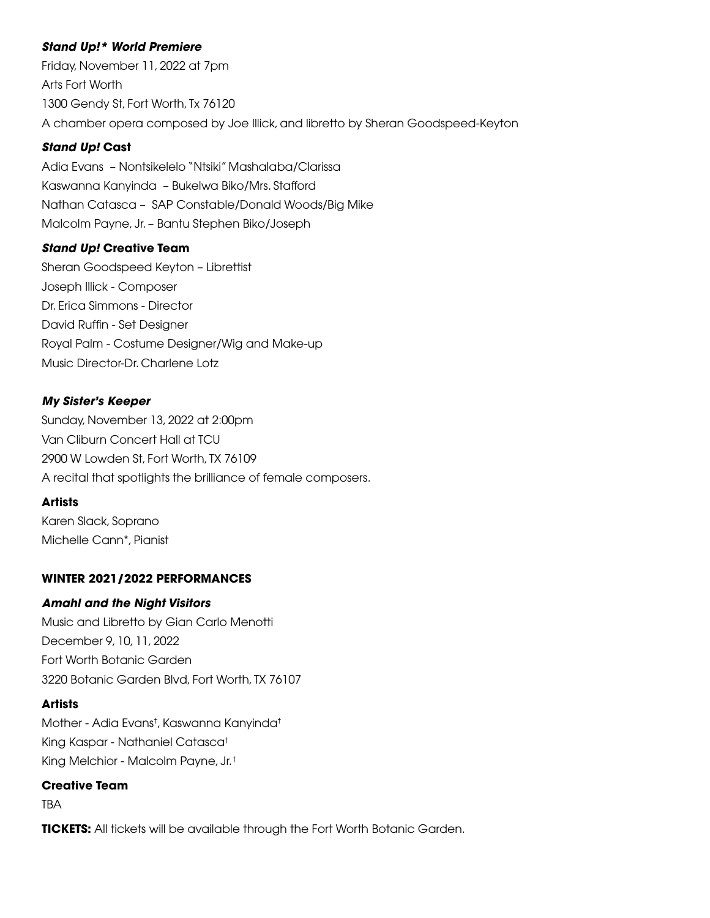# *Stand Up!\* World Premiere*

Friday, November 11, 2022 at 7pm Arts Fort Worth 1300 Gendy St, Fort Worth, Tx 76120 A chamber opera composed by Joe Illick, and libretto by Sheran Goodspeed-Keyton

# *Stand Up!* **Cast**

Adia Evans – Nontsikelelo "Ntsiki" Mashalaba/Clarissa Kaswanna Kanyinda – Bukelwa Biko/Mrs. Stafford Nathan Catasca – SAP Constable/Donald Woods/Big Mike Malcolm Payne, Jr. – Bantu Stephen Biko/Joseph

# *Stand Up!* **Creative Team**

Sheran Goodspeed Keyton – Librettist Joseph Illick - Composer Dr. Erica Simmons - Director David Ruffin - Set Designer Royal Palm - Costume Designer/Wig and Make-up Music Director-Dr. Charlene Lotz

# *My Sister's Keeper*

Sunday, November 13, 2022 at 2:00pm Van Cliburn Concert Hall at TCU 2900 W Lowden St, Fort Worth, TX 76109 A recital that spotlights the brilliance of female composers.

### **Artists**

Karen Slack, Soprano Michelle Cann\*, Pianist

# **WINTER 2021/2022 PERFORMANCES**

### *Amahl and the Night Visitors*

Music and Libretto by Gian Carlo Menotti December 9, 10, 11, 2022 Fort Worth Botanic Garden 3220 Botanic Garden Blvd, Fort Worth, TX 76107

### **Artists**

Mother - Adia Evans† , Kaswanna Kanyinda† King Kaspar - Nathaniel Catasca† King Melchior - Malcolm Payne, Jr. †

#### **Creative Team**

TBA

**TICKETS:** All tickets will be available through the Fort Worth Botanic Garden.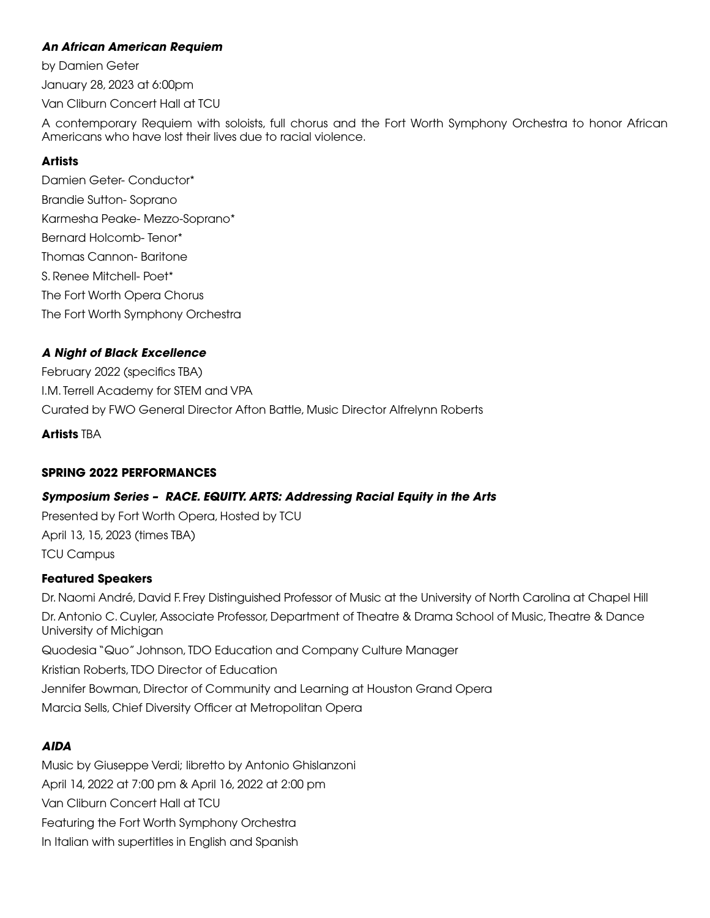## *An African American Requiem*

by Damien Geter

January 28, 2023 at 6:00pm

Van Cliburn Concert Hall at TCU

A contemporary Requiem with soloists, full chorus and the Fort Worth Symphony Orchestra to honor African Americans who have lost their lives due to racial violence.

# **Artists**

Damien Geter- Conductor\* Brandie Sutton- Soprano Karmesha Peake- Mezzo-Soprano\* Bernard Holcomb- Tenor\* Thomas Cannon- Baritone S. Renee Mitchell- Poet\* The Fort Worth Opera Chorus The Fort Worth Symphony Orchestra

# *A Night of Black Excellence*

February 2022 (specifics TBA) I.M. Terrell Academy for STEM and VPA Curated by FWO General Director Afton Battle, Music Director Alfrelynn Roberts

**Artists** TBA

### **SPRING 2022 PERFORMANCES**

# *Symposium Series – RACE. EQUITY. ARTS: Addressing Racial Equity in the Arts*

Presented by Fort Worth Opera, Hosted by TCU April 13, 15, 2023 (times TBA) TCU Campus

### **Featured Speakers**

Dr. Naomi André, David F. Frey Distinguished Professor of Music at the University of North Carolina at Chapel Hill Dr. Antonio C. Cuyler, Associate Professor, Department of Theatre & Drama School of Music, Theatre & Dance University of Michigan Quodesia "Quo" Johnson, TDO Education and Company Culture Manager Kristian Roberts, TDO Director of Education Jennifer Bowman, Director of Community and Learning at Houston Grand Opera Marcia Sells, Chief Diversity Officer at Metropolitan Opera

# *AIDA*

Music by Giuseppe Verdi; libretto by Antonio Ghislanzoni April 14, 2022 at 7:00 pm & April 16, 2022 at 2:00 pm Van Cliburn Concert Hall at TCU Featuring the Fort Worth Symphony Orchestra In Italian with supertitles in English and Spanish